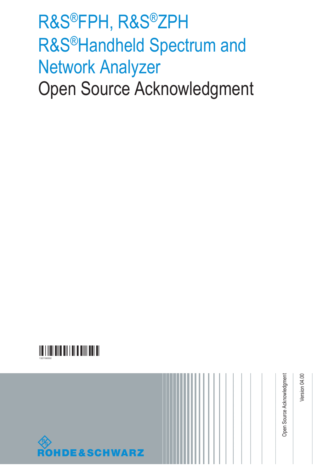# R&S®FPH, R&S®ZPH R&S®Handheld Spectrum and Network Analyzer Open Source Acknowledgment



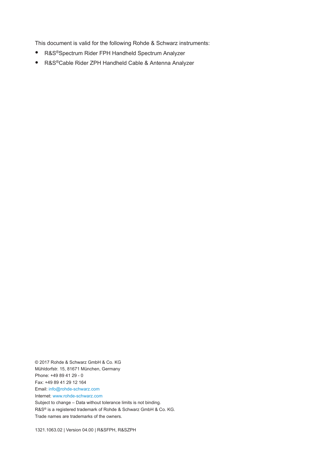This document is valid for the following Rohde & Schwarz instruments:

- R&S®Spectrum Rider FPH Handheld Spectrum Analyzer
- R&S®Cable Rider ZPH Handheld Cable & Antenna Analyzer

© 2017 Rohde & Schwarz GmbH & Co. KG Mühldorfstr. 15, 81671 München, Germany Phone: +49 89 41 29 - 0 Fax: +49 89 41 29 12 164 Email: [info@rohde-schwarz.com](mailto:info@rohde-schwarz.com) Internet: [www.rohde-schwarz.com](http://www.rohde-schwarz.com)

Subject to change – Data without tolerance limits is not binding. R&S® is a registered trademark of Rohde & Schwarz GmbH & Co. KG. Trade names are trademarks of the owners.

1321.1063.02 | Version 04.00 | R&SFPH, R&SZPH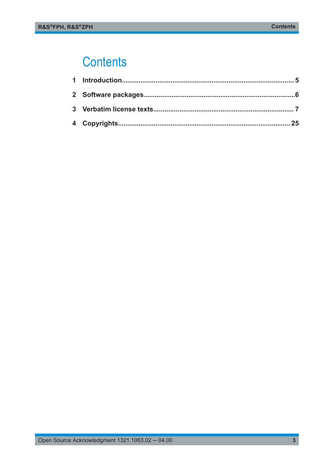## **Contents**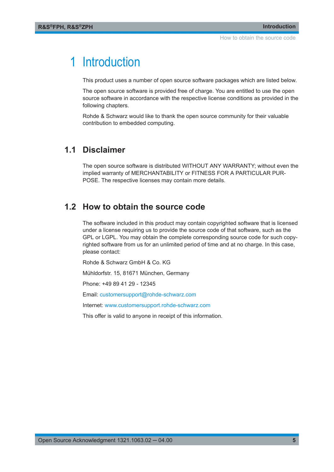## <span id="page-4-0"></span>1 Introduction

This product uses a number of open source software packages which are listed below.

The open source software is provided free of charge. You are entitled to use the open source software in accordance with the respective license conditions as provided in the following chapters.

Rohde & Schwarz would like to thank the open source community for their valuable contribution to embedded computing.

## **1.1 Disclaimer**

The open source software is distributed WITHOUT ANY WARRANTY; without even the implied warranty of MERCHANTABILITY or FITNESS FOR A PARTICULAR PUR-POSE. The respective licenses may contain more details.

### **1.2 How to obtain the source code**

The software included in this product may contain copyrighted software that is licensed under a license requiring us to provide the source code of that software, such as the GPL or LGPL. You may obtain the complete corresponding source code for such copyrighted software from us for an unlimited period of time and at no charge. In this case, please contact:

Rohde & Schwarz GmbH & Co. KG

Mühldorfstr. 15, 81671 München, Germany

Phone: +49 89 41 29 - 12345

Email: [customersupport@rohde-schwarz.com](mailto:customersupport@rohde-schwarz.com)

Internet: [www.customersupport.rohde-schwarz.com](http://www.customersupport.rohde-schwarz.com)

This offer is valid to anyone in receipt of this information.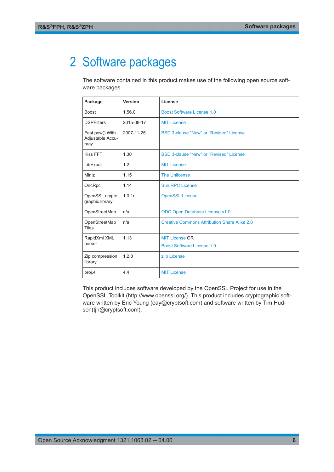## <span id="page-5-0"></span>2 Software packages

The software contained in this product makes use of the following open source software packages.

| Package                                     | <b>Version</b> | License                                             |
|---------------------------------------------|----------------|-----------------------------------------------------|
| <b>Boost</b>                                | 1.56.0         | Boost Software License 1.0                          |
| <b>DSPFilters</b>                           | 2015-08-17     | <b>MIT License</b>                                  |
| Fast pow() With<br>Adjustable Accu-<br>racy | 2007-11-25     | BSD 3-clause "New" or "Revised" License             |
| <b>Kiss FFT</b>                             | 1.30           | BSD 3-clause "New" or "Revised" License             |
| LibExpat                                    | 1.2            | <b>MIT License</b>                                  |
| Miniz                                       | 1.15           | <b>The Unlicense</b>                                |
| OncRpc                                      | 1.14           | <b>Sun RPC License</b>                              |
| OpenSSL crypto-<br>graphic library          | 1.0.1r         | <b>OpenSSL License</b>                              |
| OpenStreetMap                               | n/a            | ODC Open Database License v1.0                      |
| OpenStreetMap<br><b>Tiles</b>               | n/a            | <b>Creative Commons Attribution Share Alike 2.0</b> |
| RapidXml XML<br>parser                      | 1.13           | <b>MIT License OR</b><br>Boost Software License 1.0 |
| Zip compression<br>library                  | 1.2.8          | zlib License                                        |
| proj.4                                      | 4.4            | <b>MIT License</b>                                  |

This product includes software developed by the OpenSSL Project for use in the OpenSSL Toolkit (http://www.openssl.org/). This product includes cryptographic software written by Eric Young (eay@cryptsoft.com) and software written by Tim Hudson(tjh@cryptsoft.com).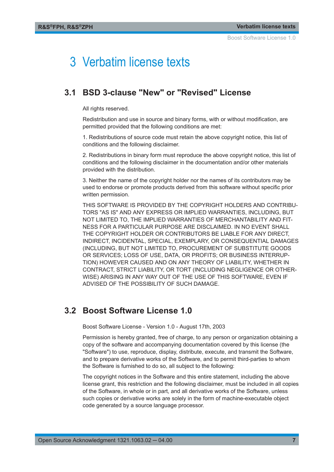## <span id="page-6-0"></span>3 Verbatim license texts

## **3.1 BSD 3-clause "New" or "Revised" License**

All rights reserved.

Redistribution and use in source and binary forms, with or without modification, are permitted provided that the following conditions are met:

1. Redistributions of source code must retain the above copyright notice, this list of conditions and the following disclaimer.

2. Redistributions in binary form must reproduce the above copyright notice, this list of conditions and the following disclaimer in the documentation and/or other materials provided with the distribution.

3. Neither the name of the copyright holder nor the names of its contributors may be used to endorse or promote products derived from this software without specific prior written permission.

THIS SOFTWARE IS PROVIDED BY THE COPYRIGHT HOLDERS AND CONTRIBU-TORS "AS IS" AND ANY EXPRESS OR IMPLIED WARRANTIES, INCLUDING, BUT NOT LIMITED TO, THE IMPLIED WARRANTIES OF MERCHANTABILITY AND FIT-NESS FOR A PARTICULAR PURPOSE ARE DISCLAIMED. IN NO EVENT SHALL THE COPYRIGHT HOLDER OR CONTRIBUTORS BE LIABLE FOR ANY DIRECT, INDIRECT, INCIDENTAL, SPECIAL, EXEMPLARY, OR CONSEQUENTIAL DAMAGES (INCLUDING, BUT NOT LIMITED TO, PROCUREMENT OF SUBSTITUTE GOODS OR SERVICES; LOSS OF USE, DATA, OR PROFITS; OR BUSINESS INTERRUP-TION) HOWEVER CAUSED AND ON ANY THEORY OF LIABILITY, WHETHER IN CONTRACT, STRICT LIABILITY, OR TORT (INCLUDING NEGLIGENCE OR OTHER-WISE) ARISING IN ANY WAY OUT OF THE USE OF THIS SOFTWARE, EVEN IF ADVISED OF THE POSSIBILITY OF SUCH DAMAGE.

## **3.2 Boost Software License 1.0**

Boost Software License - Version 1.0 - August 17th, 2003

Permission is hereby granted, free of charge, to any person or organization obtaining a copy of the software and accompanying documentation covered by this license (the "Software") to use, reproduce, display, distribute, execute, and transmit the Software, and to prepare derivative works of the Software, and to permit third-parties to whom the Software is furnished to do so, all subject to the following:

The copyright notices in the Software and this entire statement, including the above license grant, this restriction and the following disclaimer, must be included in all copies of the Software, in whole or in part, and all derivative works of the Software, unless such copies or derivative works are solely in the form of machine-executable object code generated by a source language processor.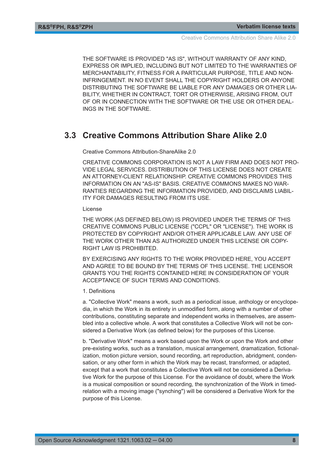<span id="page-7-0"></span>THE SOFTWARE IS PROVIDED "AS IS", WITHOUT WARRANTY OF ANY KIND, EXPRESS OR IMPLIED, INCLUDING BUT NOT LIMITED TO THE WARRANTIES OF MERCHANTABILITY, FITNESS FOR A PARTICULAR PURPOSE, TITLE AND NON-INFRINGEMENT. IN NO EVENT SHALL THE COPYRIGHT HOLDERS OR ANYONE DISTRIBUTING THE SOFTWARE BE LIABLE FOR ANY DAMAGES OR OTHER LIA-BILITY, WHETHER IN CONTRACT, TORT OR OTHERWISE, ARISING FROM, OUT OF OR IN CONNECTION WITH THE SOFTWARE OR THE USE OR OTHER DEAL-INGS IN THE SOFTWARE.

### **3.3 Creative Commons Attribution Share Alike 2.0**

Creative Commons Attribution-ShareAlike 2.0

CREATIVE COMMONS CORPORATION IS NOT A LAW FIRM AND DOES NOT PRO-VIDE LEGAL SERVICES. DISTRIBUTION OF THIS LICENSE DOES NOT CREATE AN ATTORNEY-CLIENT RELATIONSHIP. CREATIVE COMMONS PROVIDES THIS INFORMATION ON AN "AS-IS" BASIS. CREATIVE COMMONS MAKES NO WAR-RANTIES REGARDING THE INFORMATION PROVIDED, AND DISCLAIMS LIABIL-ITY FOR DAMAGES RESULTING FROM ITS USE.

#### License

THE WORK (AS DEFINED BELOW) IS PROVIDED UNDER THE TERMS OF THIS CREATIVE COMMONS PUBLIC LICENSE ("CCPL" OR "LICENSE"). THE WORK IS PROTECTED BY COPYRIGHT AND/OR OTHER APPLICABLE LAW. ANY USE OF THE WORK OTHER THAN AS AUTHORIZED UNDER THIS LICENSE OR COPY-RIGHT LAW IS PROHIBITED.

BY EXERCISING ANY RIGHTS TO THE WORK PROVIDED HERE, YOU ACCEPT AND AGREE TO BE BOUND BY THE TERMS OF THIS LICENSE. THE LICENSOR GRANTS YOU THE RIGHTS CONTAINED HERE IN CONSIDERATION OF YOUR ACCEPTANCE OF SUCH TERMS AND CONDITIONS.

#### 1. Definitions

a. "Collective Work" means a work, such as a periodical issue, anthology or encyclopedia, in which the Work in its entirety in unmodified form, along with a number of other contributions, constituting separate and independent works in themselves, are assembled into a collective whole. A work that constitutes a Collective Work will not be considered a Derivative Work (as defined below) for the purposes of this License.

b. "Derivative Work" means a work based upon the Work or upon the Work and other pre-existing works, such as a translation, musical arrangement, dramatization, fictionalization, motion picture version, sound recording, art reproduction, abridgment, condensation, or any other form in which the Work may be recast, transformed, or adapted, except that a work that constitutes a Collective Work will not be considered a Derivative Work for the purpose of this License. For the avoidance of doubt, where the Work is a musical composition or sound recording, the synchronization of the Work in timedrelation with a moving image ("synching") will be considered a Derivative Work for the purpose of this License.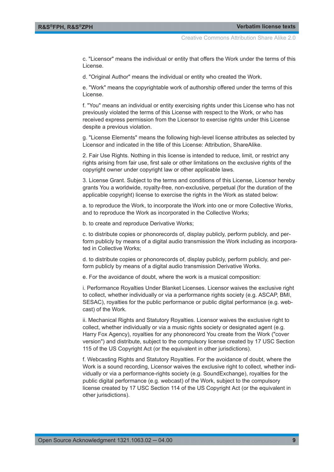c. "Licensor" means the individual or entity that offers the Work under the terms of this License.

d. "Original Author" means the individual or entity who created the Work.

e. "Work" means the copyrightable work of authorship offered under the terms of this License.

f. "You" means an individual or entity exercising rights under this License who has not previously violated the terms of this License with respect to the Work, or who has received express permission from the Licensor to exercise rights under this License despite a previous violation.

g. "License Elements" means the following high-level license attributes as selected by Licensor and indicated in the title of this License: Attribution, ShareAlike.

2. Fair Use Rights. Nothing in this license is intended to reduce, limit, or restrict any rights arising from fair use, first sale or other limitations on the exclusive rights of the copyright owner under copyright law or other applicable laws.

3. License Grant. Subject to the terms and conditions of this License, Licensor hereby grants You a worldwide, royalty-free, non-exclusive, perpetual (for the duration of the applicable copyright) license to exercise the rights in the Work as stated below:

a. to reproduce the Work, to incorporate the Work into one or more Collective Works, and to reproduce the Work as incorporated in the Collective Works;

b. to create and reproduce Derivative Works;

c. to distribute copies or phonorecords of, display publicly, perform publicly, and perform publicly by means of a digital audio transmission the Work including as incorporated in Collective Works;

d. to distribute copies or phonorecords of, display publicly, perform publicly, and perform publicly by means of a digital audio transmission Derivative Works.

e. For the avoidance of doubt, where the work is a musical composition:

i. Performance Royalties Under Blanket Licenses. Licensor waives the exclusive right to collect, whether individually or via a performance rights society (e.g. ASCAP, BMI, SESAC), royalties for the public performance or public digital performance (e.g. webcast) of the Work.

ii. Mechanical Rights and Statutory Royalties. Licensor waives the exclusive right to collect, whether individually or via a music rights society or designated agent (e.g. Harry Fox Agency), royalties for any phonorecord You create from the Work ("cover version") and distribute, subject to the compulsory license created by 17 USC Section 115 of the US Copyright Act (or the equivalent in other jurisdictions).

f. Webcasting Rights and Statutory Royalties. For the avoidance of doubt, where the Work is a sound recording, Licensor waives the exclusive right to collect, whether individually or via a performance-rights society (e.g. SoundExchange), royalties for the public digital performance (e.g. webcast) of the Work, subject to the compulsory license created by 17 USC Section 114 of the US Copyright Act (or the equivalent in other jurisdictions).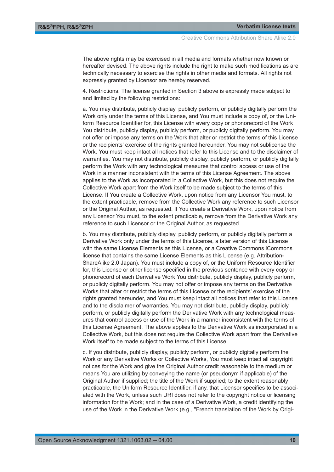The above rights may be exercised in all media and formats whether now known or hereafter devised. The above rights include the right to make such modifications as are technically necessary to exercise the rights in other media and formats. All rights not expressly granted by Licensor are hereby reserved.

4. Restrictions. The license granted in Section 3 above is expressly made subject to and limited by the following restrictions:

a. You may distribute, publicly display, publicly perform, or publicly digitally perform the Work only under the terms of this License, and You must include a copy of, or the Uniform Resource Identifier for, this License with every copy or phonorecord of the Work You distribute, publicly display, publicly perform, or publicly digitally perform. You may not offer or impose any terms on the Work that alter or restrict the terms of this License or the recipients' exercise of the rights granted hereunder. You may not sublicense the Work. You must keep intact all notices that refer to this License and to the disclaimer of warranties. You may not distribute, publicly display, publicly perform, or publicly digitally perform the Work with any technological measures that control access or use of the Work in a manner inconsistent with the terms of this License Agreement. The above applies to the Work as incorporated in a Collective Work, but this does not require the Collective Work apart from the Work itself to be made subject to the terms of this License. If You create a Collective Work, upon notice from any Licensor You must, to the extent practicable, remove from the Collective Work any reference to such Licensor or the Original Author, as requested. If You create a Derivative Work, upon notice from any Licensor You must, to the extent practicable, remove from the Derivative Work any reference to such Licensor or the Original Author, as requested.

b. You may distribute, publicly display, publicly perform, or publicly digitally perform a Derivative Work only under the terms of this License, a later version of this License with the same License Elements as this License, or a Creative Commons iCommons license that contains the same License Elements as this License (e.g. Attribution-ShareAlike 2.0 Japan). You must include a copy of, or the Uniform Resource Identifier for, this License or other license specified in the previous sentence with every copy or phonorecord of each Derivative Work You distribute, publicly display, publicly perform, or publicly digitally perform. You may not offer or impose any terms on the Derivative Works that alter or restrict the terms of this License or the recipients' exercise of the rights granted hereunder, and You must keep intact all notices that refer to this License and to the disclaimer of warranties. You may not distribute, publicly display, publicly perform, or publicly digitally perform the Derivative Work with any technological measures that control access or use of the Work in a manner inconsistent with the terms of this License Agreement. The above applies to the Derivative Work as incorporated in a Collective Work, but this does not require the Collective Work apart from the Derivative Work itself to be made subject to the terms of this License.

c. If you distribute, publicly display, publicly perform, or publicly digitally perform the Work or any Derivative Works or Collective Works, You must keep intact all copyright notices for the Work and give the Original Author credit reasonable to the medium or means You are utilizing by conveying the name (or pseudonym if applicable) of the Original Author if supplied; the title of the Work if supplied; to the extent reasonably practicable, the Uniform Resource Identifier, if any, that Licensor specifies to be associated with the Work, unless such URI does not refer to the copyright notice or licensing information for the Work; and in the case of a Derivative Work, a credit identifying the use of the Work in the Derivative Work (e.g., "French translation of the Work by Origi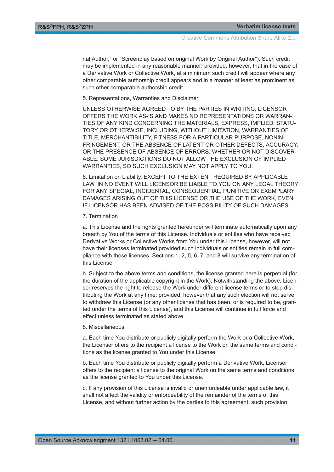nal Author," or "Screenplay based on original Work by Original Author"). Such credit may be implemented in any reasonable manner; provided, however, that in the case of a Derivative Work or Collective Work, at a minimum such credit will appear where any other comparable authorship credit appears and in a manner at least as prominent as such other comparable authorship credit.

5. Representations, Warranties and Disclaimer

UNLESS OTHERWISE AGREED TO BY THE PARTIES IN WRITING, LICENSOR OFFERS THE WORK AS-IS AND MAKES NO REPRESENTATIONS OR WARRAN-TIES OF ANY KIND CONCERNING THE MATERIALS, EXPRESS, IMPLIED, STATU-TORY OR OTHERWISE, INCLUDING, WITHOUT LIMITATION, WARRANTIES OF TITLE, MERCHANTIBILITY, FITNESS FOR A PARTICULAR PURPOSE, NONIN-FRINGEMENT, OR THE ABSENCE OF LATENT OR OTHER DEFECTS, ACCURACY, OR THE PRESENCE OF ABSENCE OF ERRORS, WHETHER OR NOT DISCOVER-ABLE. SOME JURISDICTIONS DO NOT ALLOW THE EXCLUSION OF IMPLIED WARRANTIES, SO SUCH EXCLUSION MAY NOT APPLY TO YOU.

6. Limitation on Liability. EXCEPT TO THE EXTENT REQUIRED BY APPLICABLE LAW, IN NO EVENT WILL LICENSOR BE LIABLE TO YOU ON ANY LEGAL THEORY FOR ANY SPECIAL, INCIDENTAL, CONSEQUENTIAL, PUNITIVE OR EXEMPLARY DAMAGES ARISING OUT OF THIS LICENSE OR THE USE OF THE WORK, EVEN IF LICENSOR HAS BEEN ADVISED OF THE POSSIBILITY OF SUCH DAMAGES.

7. Termination

a. This License and the rights granted hereunder will terminate automatically upon any breach by You of the terms of this License. Individuals or entities who have received Derivative Works or Collective Works from You under this License, however, will not have their licenses terminated provided such individuals or entities remain in full compliance with those licenses. Sections 1, 2, 5, 6, 7, and 8 will survive any termination of this License.

b. Subject to the above terms and conditions, the license granted here is perpetual (for the duration of the applicable copyright in the Work). Notwithstanding the above, Licensor reserves the right to release the Work under different license terms or to stop distributing the Work at any time; provided, however that any such election will not serve to withdraw this License (or any other license that has been, or is required to be, granted under the terms of this License), and this License will continue in full force and effect unless terminated as stated above.

#### 8. Miscellaneous

a. Each time You distribute or publicly digitally perform the Work or a Collective Work, the Licensor offers to the recipient a license to the Work on the same terms and conditions as the license granted to You under this License.

b. Each time You distribute or publicly digitally perform a Derivative Work, Licensor offers to the recipient a license to the original Work on the same terms and conditions as the license granted to You under this License.

c. If any provision of this License is invalid or unenforceable under applicable law, it shall not affect the validity or enforceability of the remainder of the terms of this License, and without further action by the parties to this agreement, such provision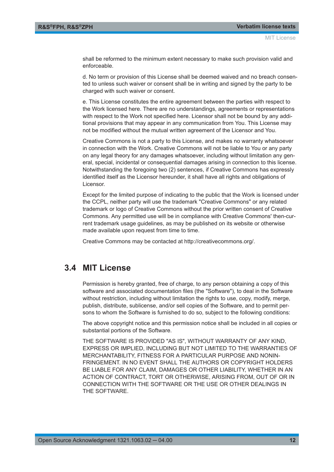<span id="page-11-0"></span>shall be reformed to the minimum extent necessary to make such provision valid and enforceable.

d. No term or provision of this License shall be deemed waived and no breach consented to unless such waiver or consent shall be in writing and signed by the party to be charged with such waiver or consent.

e. This License constitutes the entire agreement between the parties with respect to the Work licensed here. There are no understandings, agreements or representations with respect to the Work not specified here. Licensor shall not be bound by any additional provisions that may appear in any communication from You. This License may not be modified without the mutual written agreement of the Licensor and You.

Creative Commons is not a party to this License, and makes no warranty whatsoever in connection with the Work. Creative Commons will not be liable to You or any party on any legal theory for any damages whatsoever, including without limitation any general, special, incidental or consequential damages arising in connection to this license. Notwithstanding the foregoing two (2) sentences, if Creative Commons has expressly identified itself as the Licensor hereunder, it shall have all rights and obligations of Licensor.

Except for the limited purpose of indicating to the public that the Work is licensed under the CCPL, neither party will use the trademark "Creative Commons" or any related trademark or logo of Creative Commons without the prior written consent of Creative Commons. Any permitted use will be in compliance with Creative Commons' then-current trademark usage guidelines, as may be published on its website or otherwise made available upon request from time to time.

Creative Commons may be contacted at http://creativecommons.org/.

## **3.4 MIT License**

Permission is hereby granted, free of charge, to any person obtaining a copy of this software and associated documentation files (the "Software"), to deal in the Software without restriction, including without limitation the rights to use, copy, modify, merge, publish, distribute, sublicense, and/or sell copies of the Software, and to permit persons to whom the Software is furnished to do so, subject to the following conditions:

The above copyright notice and this permission notice shall be included in all copies or substantial portions of the Software.

THE SOFTWARE IS PROVIDED "AS IS", WITHOUT WARRANTY OF ANY KIND, EXPRESS OR IMPLIED, INCLUDING BUT NOT LIMITED TO THE WARRANTIES OF MERCHANTABILITY, FITNESS FOR A PARTICULAR PURPOSE AND NONIN-FRINGEMENT. IN NO EVENT SHALL THE AUTHORS OR COPYRIGHT HOLDERS BE LIABLE FOR ANY CLAIM, DAMAGES OR OTHER LIABILITY, WHETHER IN AN ACTION OF CONTRACT, TORT OR OTHERWISE, ARISING FROM, OUT OF OR IN CONNECTION WITH THE SOFTWARE OR THE USE OR OTHER DEALINGS IN THE SOFTWARE.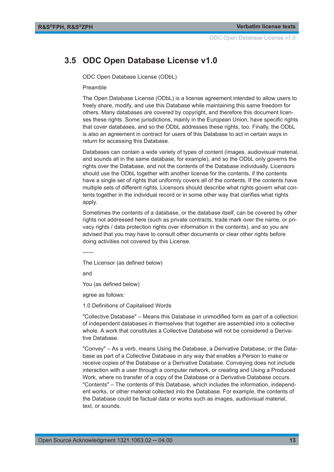## <span id="page-12-0"></span>**3.5 ODC Open Database License v1.0**

ODC Open Database License (ODbL)

Preamble

The Open Database License (ODbL) is a license agreement intended to allow users to freely share, modify, and use this Database while maintaining this same freedom for others. Many databases are covered by copyright, and therefore this document licenses these rights. Some jurisdictions, mainly in the European Union, have specific rights that cover databases, and so the ODbL addresses these rights, too. Finally, the ODbL is also an agreement in contract for users of this Database to act in certain ways in return for accessing this Database.

Databases can contain a wide variety of types of content (images, audiovisual material, and sounds all in the same database, for example), and so the ODbL only governs the rights over the Database, and not the contents of the Database individually. Licensors should use the ODbL together with another license for the contents, if the contents have a single set of rights that uniformly covers all of the contents. If the contents have multiple sets of different rights, Licensors should describe what rights govern what contents together in the individual record or in some other way that clarifies what rights apply.

Sometimes the contents of a database, or the database itself, can be covered by other rights not addressed here (such as private contracts, trade mark over the name, or privacy rights / data protection rights over information in the contents), and so you are advised that you may have to consult other documents or clear other rights before doing activities not covered by this License.

------

The Licensor (as defined below)

and

You (as defined below)

agree as follows:

1.0 Definitions of Capitalised Words

"Collective Database" – Means this Database in unmodified form as part of a collection of independent databases in themselves that together are assembled into a collective whole. A work that constitutes a Collective Database will not be considered a Derivative Database.

"Convey" – As a verb, means Using the Database, a Derivative Database, or the Database as part of a Collective Database in any way that enables a Person to make or receive copies of the Database or a Derivative Database. Conveying does not include interaction with a user through a computer network, or creating and Using a Produced Work, where no transfer of a copy of the Database or a Derivative Database occurs. "Contents" – The contents of this Database, which includes the information, independent works, or other material collected into the Database. For example, the contents of the Database could be factual data or works such as images, audiovisual material, text, or sounds.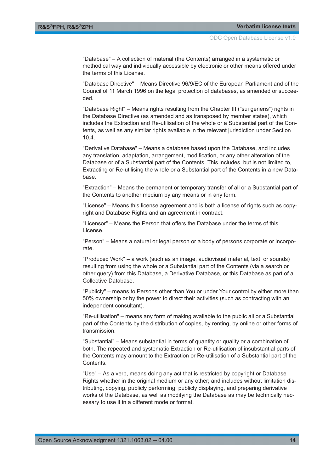"Database" – A collection of material (the Contents) arranged in a systematic or methodical way and individually accessible by electronic or other means offered under the terms of this License.

"Database Directive" – Means Directive 96/9/EC of the European Parliament and of the Council of 11 March 1996 on the legal protection of databases, as amended or succeeded.

"Database Right" – Means rights resulting from the Chapter III ("sui generis") rights in the Database Directive (as amended and as transposed by member states), which includes the Extraction and Re-utilisation of the whole or a Substantial part of the Contents, as well as any similar rights available in the relevant jurisdiction under Section 10.4.

"Derivative Database" – Means a database based upon the Database, and includes any translation, adaptation, arrangement, modification, or any other alteration of the Database or of a Substantial part of the Contents. This includes, but is not limited to, Extracting or Re-utilising the whole or a Substantial part of the Contents in a new Database.

"Extraction" – Means the permanent or temporary transfer of all or a Substantial part of the Contents to another medium by any means or in any form.

"License" – Means this license agreement and is both a license of rights such as copyright and Database Rights and an agreement in contract.

"Licensor" – Means the Person that offers the Database under the terms of this License.

"Person" – Means a natural or legal person or a body of persons corporate or incorporate.

"Produced Work" – a work (such as an image, audiovisual material, text, or sounds) resulting from using the whole or a Substantial part of the Contents (via a search or other query) from this Database, a Derivative Database, or this Database as part of a Collective Database.

"Publicly" – means to Persons other than You or under Your control by either more than 50% ownership or by the power to direct their activities (such as contracting with an independent consultant).

"Re-utilisation" – means any form of making available to the public all or a Substantial part of the Contents by the distribution of copies, by renting, by online or other forms of transmission.

"Substantial" – Means substantial in terms of quantity or quality or a combination of both. The repeated and systematic Extraction or Re-utilisation of insubstantial parts of the Contents may amount to the Extraction or Re-utilisation of a Substantial part of the Contents.

"Use" – As a verb, means doing any act that is restricted by copyright or Database Rights whether in the original medium or any other; and includes without limitation distributing, copying, publicly performing, publicly displaying, and preparing derivative works of the Database, as well as modifying the Database as may be technically necessary to use it in a different mode or format.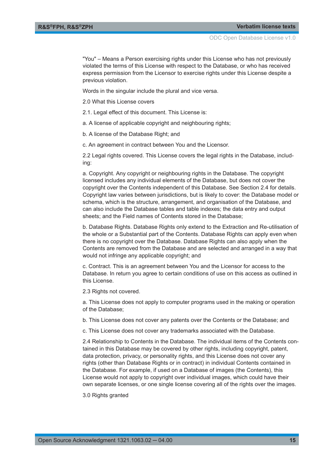"You" – Means a Person exercising rights under this License who has not previously violated the terms of this License with respect to the Database, or who has received express permission from the Licensor to exercise rights under this License despite a previous violation.

Words in the singular include the plural and vice versa.

- 2.0 What this License covers
- 2.1. Legal effect of this document. This License is:
- a. A license of applicable copyright and neighbouring rights;
- b. A license of the Database Right; and
- c. An agreement in contract between You and the Licensor.

2.2 Legal rights covered. This License covers the legal rights in the Database, including:

a. Copyright. Any copyright or neighbouring rights in the Database. The copyright licensed includes any individual elements of the Database, but does not cover the copyright over the Contents independent of this Database. See Section 2.4 for details. Copyright law varies between jurisdictions, but is likely to cover: the Database model or schema, which is the structure, arrangement, and organisation of the Database, and can also include the Database tables and table indexes; the data entry and output sheets; and the Field names of Contents stored in the Database;

b. Database Rights. Database Rights only extend to the Extraction and Re-utilisation of the whole or a Substantial part of the Contents. Database Rights can apply even when there is no copyright over the Database. Database Rights can also apply when the Contents are removed from the Database and are selected and arranged in a way that would not infringe any applicable copyright; and

c. Contract. This is an agreement between You and the Licensor for access to the Database. In return you agree to certain conditions of use on this access as outlined in this License.

2.3 Rights not covered.

a. This License does not apply to computer programs used in the making or operation of the Database;

b. This License does not cover any patents over the Contents or the Database; and

c. This License does not cover any trademarks associated with the Database.

2.4 Relationship to Contents in the Database. The individual items of the Contents contained in this Database may be covered by other rights, including copyright, patent, data protection, privacy, or personality rights, and this License does not cover any rights (other than Database Rights or in contract) in individual Contents contained in the Database. For example, if used on a Database of images (the Contents), this License would not apply to copyright over individual images, which could have their own separate licenses, or one single license covering all of the rights over the images.

3.0 Rights granted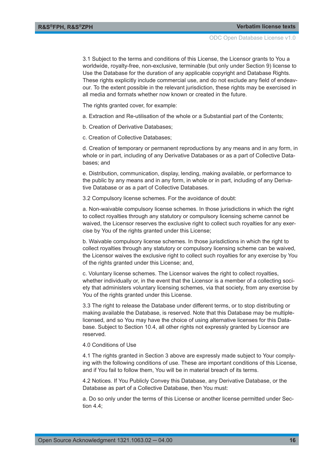3.1 Subject to the terms and conditions of this License, the Licensor grants to You a worldwide, royalty-free, non-exclusive, terminable (but only under Section 9) license to Use the Database for the duration of any applicable copyright and Database Rights. These rights explicitly include commercial use, and do not exclude any field of endeavour. To the extent possible in the relevant jurisdiction, these rights may be exercised in all media and formats whether now known or created in the future.

The rights granted cover, for example:

- a. Extraction and Re-utilisation of the whole or a Substantial part of the Contents;
- b. Creation of Derivative Databases;
- c. Creation of Collective Databases;

d. Creation of temporary or permanent reproductions by any means and in any form, in whole or in part, including of any Derivative Databases or as a part of Collective Databases; and

e. Distribution, communication, display, lending, making available, or performance to the public by any means and in any form, in whole or in part, including of any Derivative Database or as a part of Collective Databases.

3.2 Compulsory license schemes. For the avoidance of doubt:

a. Non-waivable compulsory license schemes. In those jurisdictions in which the right to collect royalties through any statutory or compulsory licensing scheme cannot be waived, the Licensor reserves the exclusive right to collect such royalties for any exercise by You of the rights granted under this License;

b. Waivable compulsory license schemes. In those jurisdictions in which the right to collect royalties through any statutory or compulsory licensing scheme can be waived, the Licensor waives the exclusive right to collect such royalties for any exercise by You of the rights granted under this License; and,

c. Voluntary license schemes. The Licensor waives the right to collect royalties, whether individually or, in the event that the Licensor is a member of a collecting society that administers voluntary licensing schemes, via that society, from any exercise by You of the rights granted under this License.

3.3 The right to release the Database under different terms, or to stop distributing or making available the Database, is reserved. Note that this Database may be multiplelicensed, and so You may have the choice of using alternative licenses for this Database. Subject to Section 10.4, all other rights not expressly granted by Licensor are reserved.

#### 4.0 Conditions of Use

4.1 The rights granted in Section 3 above are expressly made subject to Your complying with the following conditions of use. These are important conditions of this License, and if You fail to follow them, You will be in material breach of its terms.

4.2 Notices. If You Publicly Convey this Database, any Derivative Database, or the Database as part of a Collective Database, then You must:

a. Do so only under the terms of this License or another license permitted under Section 4.4;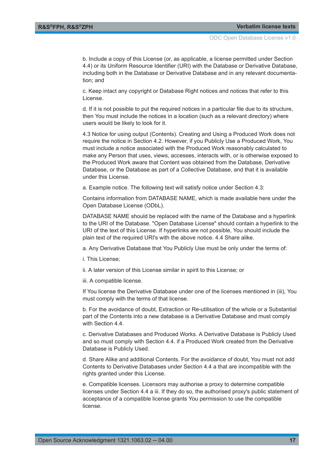b. Include a copy of this License (or, as applicable, a license permitted under Section 4.4) or its Uniform Resource Identifier (URI) with the Database or Derivative Database, including both in the Database or Derivative Database and in any relevant documentation; and

c. Keep intact any copyright or Database Right notices and notices that refer to this License.

d. If it is not possible to put the required notices in a particular file due to its structure, then You must include the notices in a location (such as a relevant directory) where users would be likely to look for it.

4.3 Notice for using output (Contents). Creating and Using a Produced Work does not require the notice in Section 4.2. However, if you Publicly Use a Produced Work, You must include a notice associated with the Produced Work reasonably calculated to make any Person that uses, views, accesses, interacts with, or is otherwise exposed to the Produced Work aware that Content was obtained from the Database, Derivative Database, or the Database as part of a Collective Database, and that it is available under this License.

a. Example notice. The following text will satisfy notice under Section 4.3:

Contains information from DATABASE NAME, which is made available here under the Open Database License (ODbL).

DATABASE NAME should be replaced with the name of the Database and a hyperlink to the URI of the Database. "Open Database License" should contain a hyperlink to the URI of the text of this License. If hyperlinks are not possible, You should include the plain text of the required URI's with the above notice. 4.4 Share alike.

a. Any Derivative Database that You Publicly Use must be only under the terms of:

- i. This License;
- ii. A later version of this License similar in spirit to this License; or
- iii. A compatible license.

If You license the Derivative Database under one of the licenses mentioned in (iii), You must comply with the terms of that license.

b. For the avoidance of doubt, Extraction or Re-utilisation of the whole or a Substantial part of the Contents into a new database is a Derivative Database and must comply with Section 4.4.

c. Derivative Databases and Produced Works. A Derivative Database is Publicly Used and so must comply with Section 4.4. if a Produced Work created from the Derivative Database is Publicly Used.

d. Share Alike and additional Contents. For the avoidance of doubt, You must not add Contents to Derivative Databases under Section 4.4 a that are incompatible with the rights granted under this License.

e. Compatible licenses. Licensors may authorise a proxy to determine compatible licenses under Section 4.4 a iii. If they do so, the authorised proxy's public statement of acceptance of a compatible license grants You permission to use the compatible license.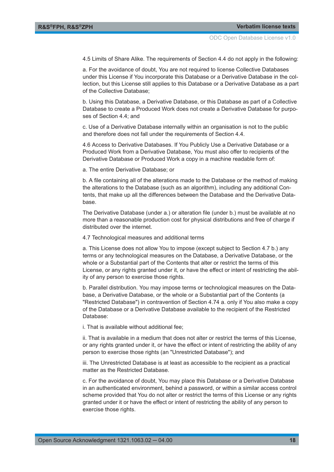4.5 Limits of Share Alike. The requirements of Section 4.4 do not apply in the following:

a. For the avoidance of doubt, You are not required to license Collective Databases under this License if You incorporate this Database or a Derivative Database in the collection, but this License still applies to this Database or a Derivative Database as a part of the Collective Database;

b. Using this Database, a Derivative Database, or this Database as part of a Collective Database to create a Produced Work does not create a Derivative Database for purposes of Section 4.4; and

c. Use of a Derivative Database internally within an organisation is not to the public and therefore does not fall under the requirements of Section 4.4.

4.6 Access to Derivative Databases. If You Publicly Use a Derivative Database or a Produced Work from a Derivative Database, You must also offer to recipients of the Derivative Database or Produced Work a copy in a machine readable form of:

a. The entire Derivative Database; or

b. A file containing all of the alterations made to the Database or the method of making the alterations to the Database (such as an algorithm), including any additional Contents, that make up all the differences between the Database and the Derivative Database.

The Derivative Database (under a.) or alteration file (under b.) must be available at no more than a reasonable production cost for physical distributions and free of charge if distributed over the internet.

4.7 Technological measures and additional terms

a. This License does not allow You to impose (except subject to Section 4.7 b.) any terms or any technological measures on the Database, a Derivative Database, or the whole or a Substantial part of the Contents that alter or restrict the terms of this License, or any rights granted under it, or have the effect or intent of restricting the ability of any person to exercise those rights.

b. Parallel distribution. You may impose terms or technological measures on the Database, a Derivative Database, or the whole or a Substantial part of the Contents (a "Restricted Database") in contravention of Section 4.74 a. only if You also make a copy of the Database or a Derivative Database available to the recipient of the Restricted Database:

i. That is available without additional fee;

ii. That is available in a medium that does not alter or restrict the terms of this License, or any rights granted under it, or have the effect or intent of restricting the ability of any person to exercise those rights (an "Unrestricted Database"); and

iii. The Unrestricted Database is at least as accessible to the recipient as a practical matter as the Restricted Database.

c. For the avoidance of doubt, You may place this Database or a Derivative Database in an authenticated environment, behind a password, or within a similar access control scheme provided that You do not alter or restrict the terms of this License or any rights granted under it or have the effect or intent of restricting the ability of any person to exercise those rights.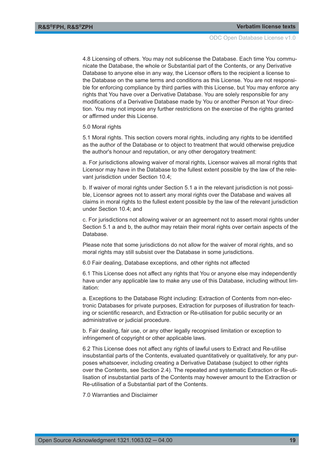4.8 Licensing of others. You may not sublicense the Database. Each time You communicate the Database, the whole or Substantial part of the Contents, or any Derivative Database to anyone else in any way, the Licensor offers to the recipient a license to the Database on the same terms and conditions as this License. You are not responsible for enforcing compliance by third parties with this License, but You may enforce any rights that You have over a Derivative Database. You are solely responsible for any modifications of a Derivative Database made by You or another Person at Your direction. You may not impose any further restrictions on the exercise of the rights granted or affirmed under this License.

5.0 Moral rights

5.1 Moral rights. This section covers moral rights, including any rights to be identified as the author of the Database or to object to treatment that would otherwise prejudice the author's honour and reputation, or any other derogatory treatment:

a. For jurisdictions allowing waiver of moral rights, Licensor waives all moral rights that Licensor may have in the Database to the fullest extent possible by the law of the relevant jurisdiction under Section 10.4;

b. If waiver of moral rights under Section 5.1 a in the relevant jurisdiction is not possible, Licensor agrees not to assert any moral rights over the Database and waives all claims in moral rights to the fullest extent possible by the law of the relevant jurisdiction under Section 10.4; and

c. For jurisdictions not allowing waiver or an agreement not to assert moral rights under Section 5.1 a and b, the author may retain their moral rights over certain aspects of the Database.

Please note that some jurisdictions do not allow for the waiver of moral rights, and so moral rights may still subsist over the Database in some jurisdictions.

6.0 Fair dealing, Database exceptions, and other rights not affected

6.1 This License does not affect any rights that You or anyone else may independently have under any applicable law to make any use of this Database, including without limitation:

a. Exceptions to the Database Right including: Extraction of Contents from non-electronic Databases for private purposes, Extraction for purposes of illustration for teaching or scientific research, and Extraction or Re-utilisation for public security or an administrative or judicial procedure.

b. Fair dealing, fair use, or any other legally recognised limitation or exception to infringement of copyright or other applicable laws.

6.2 This License does not affect any rights of lawful users to Extract and Re-utilise insubstantial parts of the Contents, evaluated quantitatively or qualitatively, for any purposes whatsoever, including creating a Derivative Database (subject to other rights over the Contents, see Section 2.4). The repeated and systematic Extraction or Re-utilisation of insubstantial parts of the Contents may however amount to the Extraction or Re-utilisation of a Substantial part of the Contents.

7.0 Warranties and Disclaimer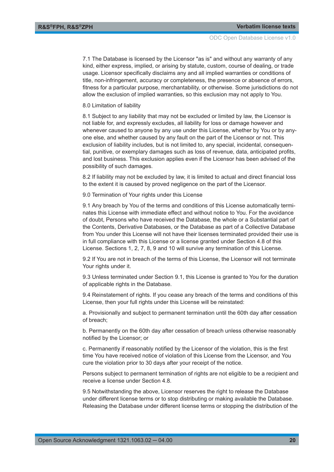7.1 The Database is licensed by the Licensor "as is" and without any warranty of any kind, either express, implied, or arising by statute, custom, course of dealing, or trade usage. Licensor specifically disclaims any and all implied warranties or conditions of title, non-infringement, accuracy or completeness, the presence or absence of errors, fitness for a particular purpose, merchantability, or otherwise. Some jurisdictions do not allow the exclusion of implied warranties, so this exclusion may not apply to You.

8.0 Limitation of liability

8.1 Subject to any liability that may not be excluded or limited by law, the Licensor is not liable for, and expressly excludes, all liability for loss or damage however and whenever caused to anyone by any use under this License, whether by You or by anyone else, and whether caused by any fault on the part of the Licensor or not. This exclusion of liability includes, but is not limited to, any special, incidental, consequential, punitive, or exemplary damages such as loss of revenue, data, anticipated profits, and lost business. This exclusion applies even if the Licensor has been advised of the possibility of such damages.

8.2 If liability may not be excluded by law, it is limited to actual and direct financial loss to the extent it is caused by proved negligence on the part of the Licensor.

9.0 Termination of Your rights under this License

9.1 Any breach by You of the terms and conditions of this License automatically terminates this License with immediate effect and without notice to You. For the avoidance of doubt, Persons who have received the Database, the whole or a Substantial part of the Contents, Derivative Databases, or the Database as part of a Collective Database from You under this License will not have their licenses terminated provided their use is in full compliance with this License or a license granted under Section 4.8 of this License. Sections 1, 2, 7, 8, 9 and 10 will survive any termination of this License.

9.2 If You are not in breach of the terms of this License, the Licensor will not terminate Your rights under it.

9.3 Unless terminated under Section 9.1, this License is granted to You for the duration of applicable rights in the Database.

9.4 Reinstatement of rights. If you cease any breach of the terms and conditions of this License, then your full rights under this License will be reinstated:

a. Provisionally and subject to permanent termination until the 60th day after cessation of breach;

b. Permanently on the 60th day after cessation of breach unless otherwise reasonably notified by the Licensor; or

c. Permanently if reasonably notified by the Licensor of the violation, this is the first time You have received notice of violation of this License from the Licensor, and You cure the violation prior to 30 days after your receipt of the notice.

Persons subject to permanent termination of rights are not eligible to be a recipient and receive a license under Section 4.8.

9.5 Notwithstanding the above, Licensor reserves the right to release the Database under different license terms or to stop distributing or making available the Database. Releasing the Database under different license terms or stopping the distribution of the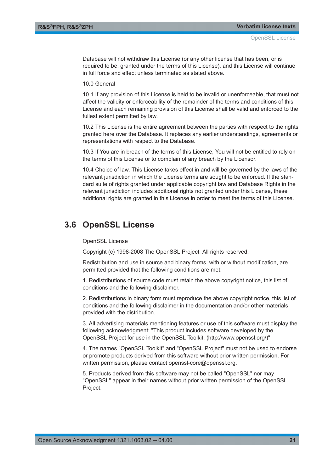<span id="page-20-0"></span>Database will not withdraw this License (or any other license that has been, or is required to be, granted under the terms of this License), and this License will continue in full force and effect unless terminated as stated above.

10.0 General

10.1 If any provision of this License is held to be invalid or unenforceable, that must not affect the validity or enforceability of the remainder of the terms and conditions of this License and each remaining provision of this License shall be valid and enforced to the fullest extent permitted by law.

10.2 This License is the entire agreement between the parties with respect to the rights granted here over the Database. It replaces any earlier understandings, agreements or representations with respect to the Database.

10.3 If You are in breach of the terms of this License, You will not be entitled to rely on the terms of this License or to complain of any breach by the Licensor.

10.4 Choice of law. This License takes effect in and will be governed by the laws of the relevant jurisdiction in which the License terms are sought to be enforced. If the standard suite of rights granted under applicable copyright law and Database Rights in the relevant jurisdiction includes additional rights not granted under this License, these additional rights are granted in this License in order to meet the terms of this License.

### **3.6 OpenSSL License**

#### OpenSSL License

Copyright (c) 1998-2008 The OpenSSL Project. All rights reserved.

Redistribution and use in source and binary forms, with or without modification, are permitted provided that the following conditions are met:

1. Redistributions of source code must retain the above copyright notice, this list of conditions and the following disclaimer.

2. Redistributions in binary form must reproduce the above copyright notice, this list of conditions and the following disclaimer in the documentation and/or other materials provided with the distribution.

3. All advertising materials mentioning features or use of this software must display the following acknowledgment: "This product includes software developed by the OpenSSL Project for use in the OpenSSL Toolkit. (http://www.openssl.org/)"

4. The names "OpenSSL Toolkit" and "OpenSSL Project" must not be used to endorse or promote products derived from this software without prior written permission. For written permission, please contact openssl-core@openssl.org.

5. Products derived from this software may not be called "OpenSSL" nor may "OpenSSL" appear in their names without prior written permission of the OpenSSL Project.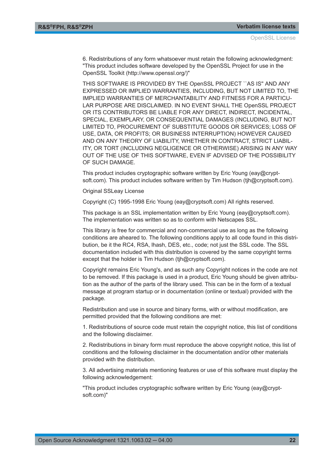6. Redistributions of any form whatsoever must retain the following acknowledgment: "This product includes software developed by the OpenSSL Project for use in the OpenSSL Toolkit (http://www.openssl.org/)"

THIS SOFTWARE IS PROVIDED BY THE OpenSSL PROJECT ``AS IS'' AND ANY EXPRESSED OR IMPLIED WARRANTIES, INCLUDING, BUT NOT LIMITED TO, THE IMPLIED WARRANTIES OF MERCHANTABILITY AND FITNESS FOR A PARTICU-LAR PURPOSE ARE DISCLAIMED. IN NO EVENT SHALL THE OpenSSL PROJECT OR ITS CONTRIBUTORS BE LIABLE FOR ANY DIRECT, INDIRECT, INCIDENTAL, SPECIAL, EXEMPLARY, OR CONSEQUENTIAL DAMAGES (INCLUDING, BUT NOT LIMITED TO, PROCUREMENT OF SUBSTITUTE GOODS OR SERVICES; LOSS OF USE, DATA, OR PROFITS; OR BUSINESS INTERRUPTION) HOWEVER CAUSED AND ON ANY THEORY OF LIABILITY, WHETHER IN CONTRACT, STRICT LIABIL-ITY, OR TORT (INCLUDING NEGLIGENCE OR OTHERWISE) ARISING IN ANY WAY OUT OF THE USE OF THIS SOFTWARE, EVEN IF ADVISED OF THE POSSIBILITY OF SUCH DAMAGE.

This product includes cryptographic software written by Eric Young (eay@cryptsoft.com). This product includes software written by Tim Hudson (tjh@cryptsoft.com).

Original SSLeay License

Copyright (C) 1995-1998 Eric Young (eay@cryptsoft.com) All rights reserved.

This package is an SSL implementation written by Eric Young (eay@cryptsoft.com). The implementation was written so as to conform with Netscapes SSL.

This library is free for commercial and non-commercial use as long as the following conditions are aheared to. The following conditions apply to all code found in this distribution, be it the RC4, RSA, lhash, DES, etc., code; not just the SSL code. The SSL documentation included with this distribution is covered by the same copyright terms except that the holder is Tim Hudson (tjh@cryptsoft.com).

Copyright remains Eric Young's, and as such any Copyright notices in the code are not to be removed. If this package is used in a product, Eric Young should be given attribution as the author of the parts of the library used. This can be in the form of a textual message at program startup or in documentation (online or textual) provided with the package.

Redistribution and use in source and binary forms, with or without modification, are permitted provided that the following conditions are met:

1. Redistributions of source code must retain the copyright notice, this list of conditions and the following disclaimer.

2. Redistributions in binary form must reproduce the above copyright notice, this list of conditions and the following disclaimer in the documentation and/or other materials provided with the distribution.

3. All advertising materials mentioning features or use of this software must display the following acknowledgement:

"This product includes cryptographic software written by Eric Young (eay@cryptsoft.com)"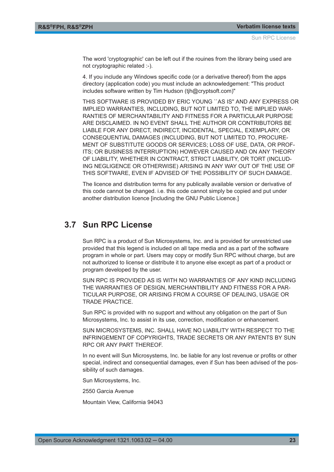<span id="page-22-0"></span>The word 'cryptographic' can be left out if the rouines from the library being used are not cryptographic related :-).

4. If you include any Windows specific code (or a derivative thereof) from the apps directory (application code) you must include an acknowledgement: "This product includes software written by Tim Hudson (tih@cryptsoft.com)"

THIS SOFTWARE IS PROVIDED BY ERIC YOUNG ``AS IS'' AND ANY EXPRESS OR IMPLIED WARRANTIES, INCLUDING, BUT NOT LIMITED TO, THE IMPLIED WAR-RANTIES OF MERCHANTABILITY AND FITNESS FOR A PARTICULAR PURPOSE ARE DISCLAIMED. IN NO EVENT SHALL THE AUTHOR OR CONTRIBUTORS BE LIABLE FOR ANY DIRECT, INDIRECT, INCIDENTAL, SPECIAL, EXEMPLARY, OR CONSEQUENTIAL DAMAGES (INCLUDING, BUT NOT LIMITED TO, PROCURE-MENT OF SUBSTITUTE GOODS OR SERVICES; LOSS OF USE, DATA, OR PROF-ITS; OR BUSINESS INTERRUPTION) HOWEVER CAUSED AND ON ANY THEORY OF LIABILITY, WHETHER IN CONTRACT, STRICT LIABILITY, OR TORT (INCLUD-ING NEGLIGENCE OR OTHERWISE) ARISING IN ANY WAY OUT OF THE USE OF THIS SOFTWARE, EVEN IF ADVISED OF THE POSSIBILITY OF SUCH DAMAGE.

The licence and distribution terms for any publically available version or derivative of this code cannot be changed. i.e. this code cannot simply be copied and put under another distribution licence [including the GNU Public Licence.]

## **3.7 Sun RPC License**

Sun RPC is a product of Sun Microsystems, Inc. and is provided for unrestricted use provided that this legend is included on all tape media and as a part of the software program in whole or part. Users may copy or modify Sun RPC without charge, but are not authorized to license or distribute it to anyone else except as part of a product or program developed by the user.

SUN RPC IS PROVIDED AS IS WITH NO WARRANTIES OF ANY KIND INCLUDING THE WARRANTIES OF DESIGN, MERCHANTIBILITY AND FITNESS FOR A PAR-TICULAR PURPOSE, OR ARISING FROM A COURSE OF DEALING, USAGE OR TRADE PRACTICE.

Sun RPC is provided with no support and without any obligation on the part of Sun Microsystems, Inc. to assist in its use, correction, modification or enhancement.

SUN MICROSYSTEMS, INC. SHALL HAVE NO LIABILITY WITH RESPECT TO THE INFRINGEMENT OF COPYRIGHTS, TRADE SECRETS OR ANY PATENTS BY SUN RPC OR ANY PART THEREOF.

In no event will Sun Microsystems, Inc. be liable for any lost revenue or profits or other special, indirect and consequential damages, even if Sun has been advised of the possibility of such damages.

Sun Microsystems, Inc.

2550 Garcia Avenue

Mountain View, California 94043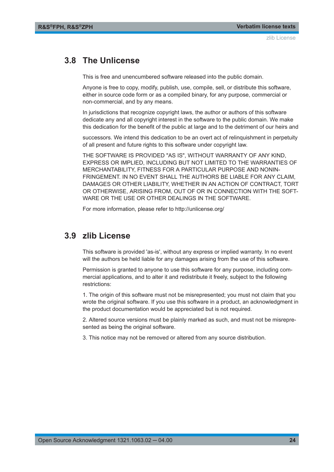## <span id="page-23-0"></span>**3.8 The Unlicense**

This is free and unencumbered software released into the public domain.

Anyone is free to copy, modify, publish, use, compile, sell, or distribute this software, either in source code form or as a compiled binary, for any purpose, commercial or non-commercial, and by any means.

In jurisdictions that recognize copyright laws, the author or authors of this software dedicate any and all copyright interest in the software to the public domain. We make this dedication for the benefit of the public at large and to the detriment of our heirs and

successors. We intend this dedication to be an overt act of relinquishment in perpetuity of all present and future rights to this software under copyright law.

THE SOFTWARE IS PROVIDED "AS IS", WITHOUT WARRANTY OF ANY KIND, EXPRESS OR IMPLIED, INCLUDING BUT NOT LIMITED TO THE WARRANTIES OF MERCHANTABILITY, FITNESS FOR A PARTICULAR PURPOSE AND NONIN-FRINGEMENT. IN NO EVENT SHALL THE AUTHORS BE LIABLE FOR ANY CLAIM, DAMAGES OR OTHER LIABILITY, WHETHER IN AN ACTION OF CONTRACT, TORT OR OTHERWISE, ARISING FROM, OUT OF OR IN CONNECTION WITH THE SOFT-WARE OR THE USE OR OTHER DEALINGS IN THE SOFTWARE.

For more information, please refer to http://unlicense.org/

### **3.9 zlib License**

This software is provided 'as-is', without any express or implied warranty. In no event will the authors be held liable for any damages arising from the use of this software.

Permission is granted to anyone to use this software for any purpose, including commercial applications, and to alter it and redistribute it freely, subject to the following restrictions:

1. The origin of this software must not be misrepresented; you must not claim that you wrote the original software. If you use this software in a product, an acknowledgment in the product documentation would be appreciated but is not required.

2. Altered source versions must be plainly marked as such, and must not be misrepresented as being the original software.

3. This notice may not be removed or altered from any source distribution.